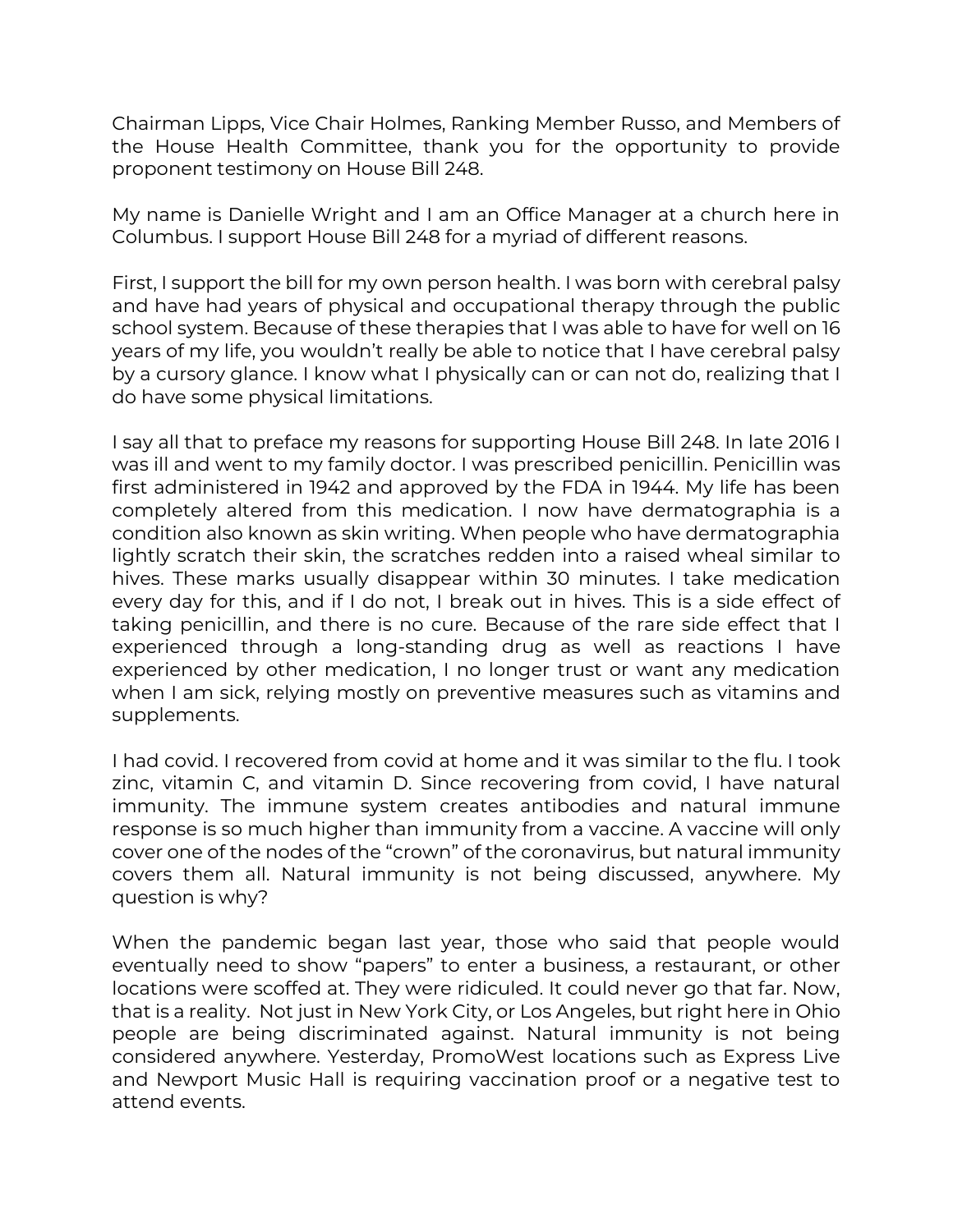Chairman Lipps, Vice Chair Holmes, Ranking Member Russo, and Members of the House Health Committee, thank you for the opportunity to provide proponent testimony on House Bill 248.

My name is Danielle Wright and I am an Office Manager at a church here in Columbus. I support House Bill 248 for a myriad of different reasons.

First, I support the bill for my own person health. I was born with cerebral palsy and have had years of physical and occupational therapy through the public school system. Because of these therapies that I was able to have for well on 16 years of my life, you wouldn't really be able to notice that I have cerebral palsy by a cursory glance. I know what I physically can or can not do, realizing that I do have some physical limitations.

I say all that to preface my reasons for supporting House Bill 248. In late 2016 I was ill and went to my family doctor. I was prescribed penicillin. Penicillin was first administered in 1942 and approved by the FDA in 1944. My life has been completely altered from this medication. I now have dermatographia is a condition also known as skin writing. When people who have dermatographia lightly scratch their skin, the scratches redden into a raised wheal similar to hives. These marks usually disappear within 30 minutes. I take medication every day for this, and if I do not, I break out in hives. This is a side effect of taking penicillin, and there is no cure. Because of the rare side effect that I experienced through a long-standing drug as well as reactions I have experienced by other medication, I no longer trust or want any medication when I am sick, relying mostly on preventive measures such as vitamins and supplements.

I had covid. I recovered from covid at home and it was similar to the flu. I took zinc, vitamin C, and vitamin D. Since recovering from covid, I have natural immunity. The immune system creates antibodies and natural immune response is so much higher than immunity from a vaccine. A vaccine will only cover one of the nodes of the "crown" of the coronavirus, but natural immunity covers them all. Natural immunity is not being discussed, anywhere. My question is why?

When the pandemic began last year, those who said that people would eventually need to show "papers" to enter a business, a restaurant, or other locations were scoffed at. They were ridiculed. It could never go that far. Now, that is a reality. Not just in New York City, or Los Angeles, but right here in Ohio people are being discriminated against. Natural immunity is not being considered anywhere. Yesterday, PromoWest locations such as Express Live and Newport Music Hall is requiring vaccination proof or a negative test to attend events.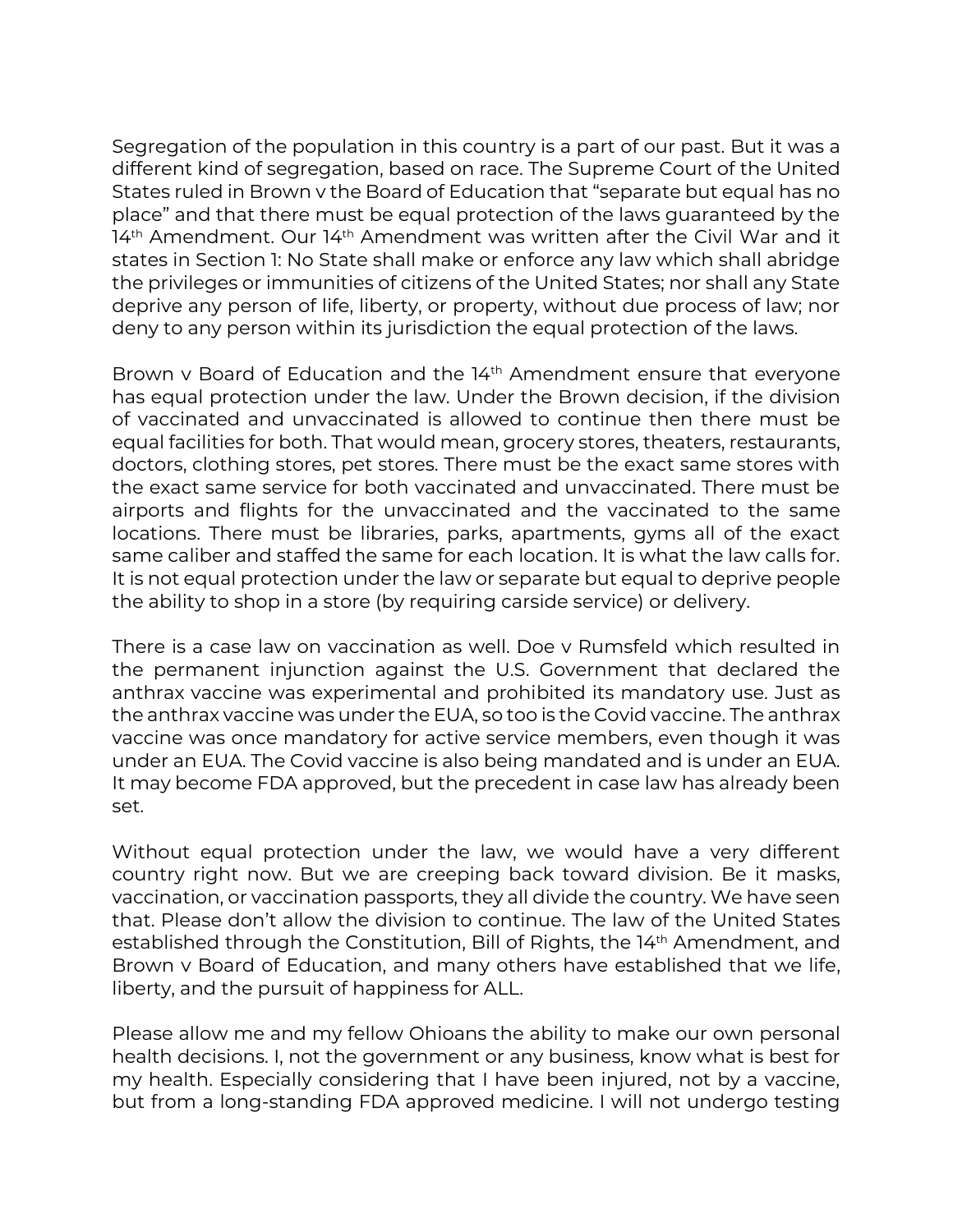Segregation of the population in this country is a part of our past. But it was a different kind of segregation, based on race. The Supreme Court of the United States ruled in Brown v the Board of Education that "separate but equal has no place" and that there must be equal protection of the laws guaranteed by the 14<sup>th</sup> Amendment. Our 14<sup>th</sup> Amendment was written after the Civil War and it states in Section 1: No State shall make or enforce any law which shall abridge the privileges or immunities of citizens of the United States; nor shall any State deprive any person of life, liberty, or property, without due process of law; nor deny to any person within its jurisdiction the equal protection of the laws.

Brown v Board of Education and the 14<sup>th</sup> Amendment ensure that everyone has equal protection under the law. Under the Brown decision, if the division of vaccinated and unvaccinated is allowed to continue then there must be equal facilities for both. That would mean, grocery stores, theaters, restaurants, doctors, clothing stores, pet stores. There must be the exact same stores with the exact same service for both vaccinated and unvaccinated. There must be airports and flights for the unvaccinated and the vaccinated to the same locations. There must be libraries, parks, apartments, gyms all of the exact same caliber and staffed the same for each location. It is what the law calls for. It is not equal protection under the law or separate but equal to deprive people the ability to shop in a store (by requiring carside service) or delivery.

There is a case law on vaccination as well. Doe v Rumsfeld which resulted in the permanent injunction against the U.S. Government that declared the anthrax vaccine was experimental and prohibited its mandatory use. Just as the anthrax vaccine was under the EUA, so too is the Covid vaccine. The anthrax vaccine was once mandatory for active service members, even though it was under an EUA. The Covid vaccine is also being mandated and is under an EUA. It may become FDA approved, but the precedent in case law has already been set.

Without equal protection under the law, we would have a very different country right now. But we are creeping back toward division. Be it masks, vaccination, or vaccination passports, they all divide the country. We have seen that. Please don't allow the division to continue. The law of the United States established through the Constitution, Bill of Rights, the 14th Amendment, and Brown v Board of Education, and many others have established that we life, liberty, and the pursuit of happiness for ALL.

Please allow me and my fellow Ohioans the ability to make our own personal health decisions. I, not the government or any business, know what is best for my health. Especially considering that I have been injured, not by a vaccine, but from a long-standing FDA approved medicine. I will not undergo testing